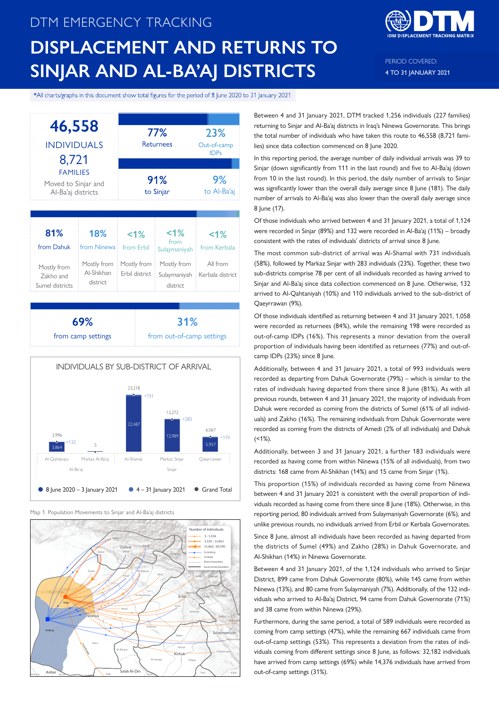# DTM EMERGENCY TRACKING **DISPLACEMENT AND RETURNS TO SINJAR AND AL-BA'AJ DISTRICTS**



PERIOD COVERED: 4 TO 31 JANUARY 2021

\*All charts/graphs in this document show total figures for the period of 8 June 2020 to 31 January 2021



**69%** from camp settings **31%** from out-of-camp settings



Map 1. Population Movements to Sinjar and Al-Ba'aj districts



Between 4 and 31 January 2021, DTM tracked 1,256 individuals (227 families) returning to Sinjar and Al-Ba'aj districts in Iraq's Ninewa Governorate. This brings the total number of individuals who have taken this route to 46,558 (8,721 families) since data collection commenced on 8 June 2020.

In this reporting period, the average number of daily individual arrivals was 39 to Sinjar (down significantly from 111 in the last round) and five to Al-Ba'aj (down from 10 in the last round). In this period, the daily number of arrivals to Sinjar was significantly lower than the overall daily average since 8 June (181). The daily number of arrivals to Al-Ba'aj was also lower than the overall daily average since 8 June (17).

Of those individuals who arrived between 4 and 31 January 2021, a total of 1,124 were recorded in Sinjar (89%) and 132 were recorded in Al-Ba'aj (11%) – broadly consistent with the rates of individuals' districts of arrival since 8 June.

The most common sub-district of arrival was Al-Shamal with 731 individuals (58%), followed by Markaz Sinjar with 283 individuals (23%). Together, these two sub-districts comprise 78 per cent of all individuals recorded as having arrived to Sinjar and Al-Ba'aj since data collection commenced on 8 June. Otherwise, 132 arrived to Al-Qahtaniyah (10%) and 110 individuals arrived to the sub-district of Qaeyrrawan (9%).

Of those individuals identified as returning between 4 and 31 January 2021, 1,058 were recorded as returnees (84%), while the remaining 198 were recorded as out-of-camp IDPs (16%). This represents a minor deviation from the overall proportion of individuals having been identified as returnees (77%) and out-ofcamp IDPs (23%) since 8 June.

Additionally, between 4 and 31 January 2021, a total of 993 individuals were recorded as departing from Dahuk Governorate (79%) – which is similar to the rates of individuals having departed from there since 8 June (81%). As with all previous rounds, between 4 and 31 January 2021, the majority of individuals from Dahuk were recorded as coming from the districts of Sumel (61% of all individuals) and Zakho (16%). The remaining individuals from Dahuk Governorate were recorded as coming from the districts of Amedi (2% of all individuals) and Dahuk  $($  < 1%).

Additionally, between 3 and 31 January 2021, a further 183 individuals were recorded as having come from within Ninewa (15% of all individuals), from two districts: 168 came from Al-Shikhan (14%) and 15 came from Sinjar (1%).

This proportion (15%) of individuals recorded as having come from Ninewa between 4 and 31 January 2021 is consistent with the overall proportion of individuals recorded as having come from there since 8 June (18%). Otherwise, in this reporting period, 80 individuals arrived from Sulaymaniyah Governorate (6%), and unlike previous rounds, no individuals arrived from Erbil or Kerbala Governorates.

Since 8 June, almost all individuals have been recorded as having departed from the districts of Sumel (49%) and Zakho (28%) in Dahuk Governorate, and Al-Shikhan (14%) in Ninewa Governorate.

Between 4 and 31 January 2021, of the 1,124 individuals who arrived to Sinjar District, 899 came from Dahuk Governorate (80%), while 145 came from within Ninewa (13%), and 80 came from Sulaymaniyah (7%). Additionally, of the 132 individuals who arrived to Al-Ba'aj District, 94 came from Dahuk Governorate (71%) and 38 came from within Ninewa (29%).

Furthermore, during the same period, a total of 589 individuals were recorded as coming from camp settings (47%), while the remaining 667 individuals came from out-of-camp settings (53%). This represents a deviation from the rates of individuals coming from different settings since 8 June, as follows: 32,182 individuals have arrived from camp settings (69%) while 14,376 individuals have arrived from out-of-camp settings (31%).